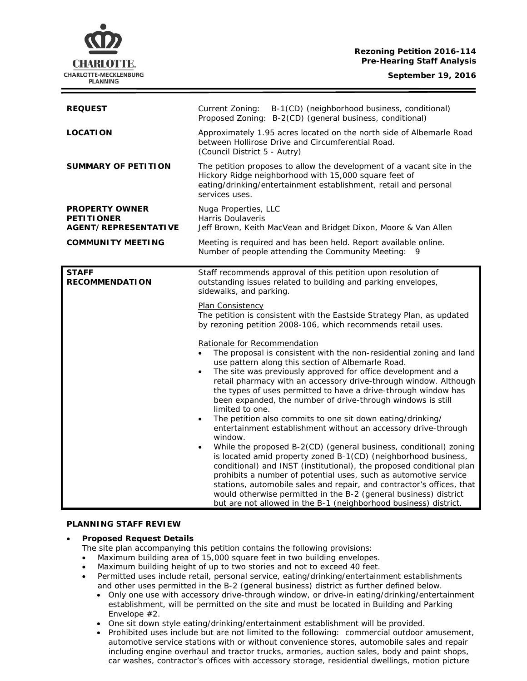**Rezoning Petition 2016-114 Pre-Hearing Staff Analysis**



| <b>REQUEST</b>                                                     | B-1(CD) (neighborhood business, conditional)<br>Current Zoning:<br>Proposed Zoning: B-2(CD) (general business, conditional)                                                                                                                                                                                                                                                                                                                                                                                                                                                                                                                                                                                                                                            |
|--------------------------------------------------------------------|------------------------------------------------------------------------------------------------------------------------------------------------------------------------------------------------------------------------------------------------------------------------------------------------------------------------------------------------------------------------------------------------------------------------------------------------------------------------------------------------------------------------------------------------------------------------------------------------------------------------------------------------------------------------------------------------------------------------------------------------------------------------|
| <b>LOCATION</b>                                                    | Approximately 1.95 acres located on the north side of Albemarle Road<br>between Hollirose Drive and Circumferential Road.<br>(Council District 5 - Autry)                                                                                                                                                                                                                                                                                                                                                                                                                                                                                                                                                                                                              |
| <b>SUMMARY OF PETITION</b>                                         | The petition proposes to allow the development of a vacant site in the<br>Hickory Ridge neighborhood with 15,000 square feet of<br>eating/drinking/entertainment establishment, retail and personal<br>services uses.                                                                                                                                                                                                                                                                                                                                                                                                                                                                                                                                                  |
| <b>PROPERTY OWNER</b><br><b>PETITIONER</b><br>AGENT/REPRESENTATIVE | Nuga Properties, LLC<br><b>Harris Doulaveris</b><br>Jeff Brown, Keith MacVean and Bridget Dixon, Moore & Van Allen                                                                                                                                                                                                                                                                                                                                                                                                                                                                                                                                                                                                                                                     |
| <b>COMMUNITY MEETING</b>                                           | Meeting is required and has been held. Report available online.<br>Number of people attending the Community Meeting:<br>9                                                                                                                                                                                                                                                                                                                                                                                                                                                                                                                                                                                                                                              |
| <b>STAFF</b><br><b>RECOMMENDATION</b>                              | Staff recommends approval of this petition upon resolution of<br>outstanding issues related to building and parking envelopes,<br>sidewalks, and parking.<br>Plan Consistency<br>The petition is consistent with the Eastside Strategy Plan, as updated<br>by rezoning petition 2008-106, which recommends retail uses.<br>Rationale for Recommendation<br>The proposal is consistent with the non-residential zoning and land<br>use pattern along this section of Albemarle Road.<br>The site was previously approved for office development and a<br>$\bullet$<br>retail pharmacy with an accessory drive-through window. Although<br>the types of uses permitted to have a drive-through window has<br>been expanded, the number of drive-through windows is still |
|                                                                    | limited to one.<br>The petition also commits to one sit down eating/drinking/<br>$\bullet$<br>entertainment establishment without an accessory drive-through<br>window.<br>While the proposed B-2(CD) (general business, conditional) zoning<br>is located amid property zoned B-1(CD) (neighborhood business,<br>conditional) and INST (institutional), the proposed conditional plan<br>prohibits a number of potential uses, such as automotive service<br>stations, automobile sales and repair, and contractor's offices, that<br>would otherwise permitted in the B-2 (general business) district<br>but are not allowed in the B-1 (neighborhood business) district.                                                                                            |

#### **PLANNING STAFF REVIEW**

# • **Proposed Request Details**

- The site plan accompanying this petition contains the following provisions:
- Maximum building area of 15,000 square feet in two building envelopes.
- Maximum building height of up to two stories and not to exceed 40 feet.
- Permitted uses include retail, personal service, eating/drinking/entertainment establishments and other uses permitted in the B-2 (general business) district as further defined below.
	- Only one use with accessory drive-through window, or drive-in eating/drinking/entertainment establishment, will be permitted on the site and must be located in Building and Parking Envelope #2.
	- One sit down style eating/drinking/entertainment establishment will be provided.
	- Prohibited uses include but are not limited to the following: commercial outdoor amusement, automotive service stations with or without convenience stores, automobile sales and repair including engine overhaul and tractor trucks, armories, auction sales, body and paint shops, car washes, contractor's offices with accessory storage, residential dwellings, motion picture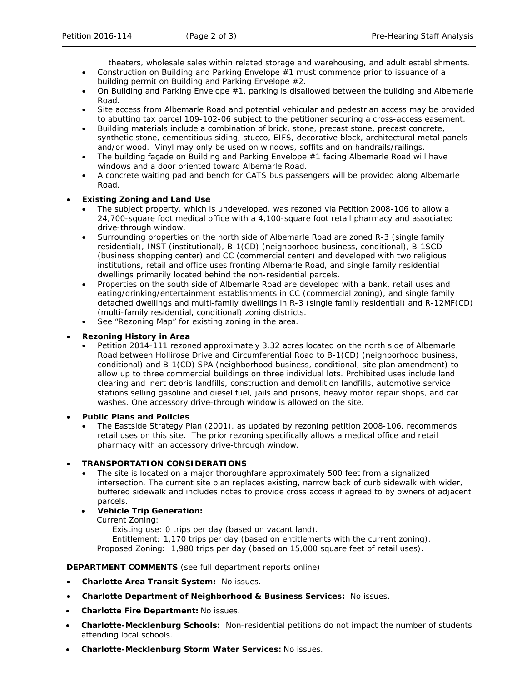theaters, wholesale sales within related storage and warehousing, and adult establishments.

- Construction on Building and Parking Envelope #1 must commence prior to issuance of a building permit on Building and Parking Envelope #2.
- On Building and Parking Envelope #1, parking is disallowed between the building and Albemarle Road.
- Site access from Albemarle Road and potential vehicular and pedestrian access may be provided to abutting tax parcel 109-102-06 subject to the petitioner securing a cross-access easement.
- Building materials include a combination of brick, stone, precast stone, precast concrete, synthetic stone, cementitious siding, stucco, EIFS, decorative block, architectural metal panels and/or wood. Vinyl may only be used on windows, soffits and on handrails/railings.
- The building façade on Building and Parking Envelope #1 facing Albemarle Road will have windows and a door oriented toward Albemarle Road.
- A concrete waiting pad and bench for CATS bus passengers will be provided along Albemarle Road.

### • **Existing Zoning and Land Use**

- The subject property, which is undeveloped, was rezoned via Petition 2008-106 to allow a 24,700-square foot medical office with a 4,100-square foot retail pharmacy and associated drive-through window.
- Surrounding properties on the north side of Albemarle Road are zoned R-3 (single family residential), INST (institutional), B-1(CD) (neighborhood business, conditional), B-1SCD (business shopping center) and CC (commercial center) and developed with two religious institutions, retail and office uses fronting Albemarle Road, and single family residential dwellings primarily located behind the non-residential parcels.
- Properties on the south side of Albemarle Road are developed with a bank, retail uses and eating/drinking/entertainment establishments in CC (commercial zoning), and single family detached dwellings and multi-family dwellings in R-3 (single family residential) and R-12MF(CD) (multi-family residential, conditional) zoning districts.
- See "Rezoning Map" for existing zoning in the area.

# • **Rezoning History in Area**

• Petition 2014-111 rezoned approximately 3.32 acres located on the north side of Albemarle Road between Hollirose Drive and Circumferential Road to B-1(CD) (neighborhood business, conditional) and B-1(CD) SPA (neighborhood business, conditional, site plan amendment) to allow up to three commercial buildings on three individual lots. Prohibited uses include land clearing and inert debris landfills, construction and demolition landfills, automotive service stations selling gasoline and diesel fuel, jails and prisons, heavy motor repair shops, and car washes. One accessory drive-through window is allowed on the site.

#### • **Public Plans and Policies**

• The *Eastside Strategy Plan* (2001), as updated by rezoning petition 2008-106, recommends retail uses on this site. The prior rezoning specifically allows a medical office and retail pharmacy with an accessory drive-through window.

# • **TRANSPORTATION CONSIDERATIONS**

- The site is located on a major thoroughfare approximately 500 feet from a signalized intersection. The current site plan replaces existing, narrow back of curb sidewalk with wider, buffered sidewalk and includes notes to provide cross access if agreed to by owners of adjacent parcels.
- **Vehicle Trip Generation:**

Current Zoning:

Existing use: 0 trips per day (based on vacant land).

Entitlement: 1,170 trips per day (based on entitlements with the current zoning). Proposed Zoning: 1,980 trips per day (based on 15,000 square feet of retail uses).

#### **DEPARTMENT COMMENTS** (see full department reports online)

- **Charlotte Area Transit System:** No issues.
- **Charlotte Department of Neighborhood & Business Services:** No issues.
- **Charlotte Fire Department:** No issues.
- **Charlotte-Mecklenburg Schools:** Non-residential petitions do not impact the number of students attending local schools.
- **Charlotte-Mecklenburg Storm Water Services:** No issues.